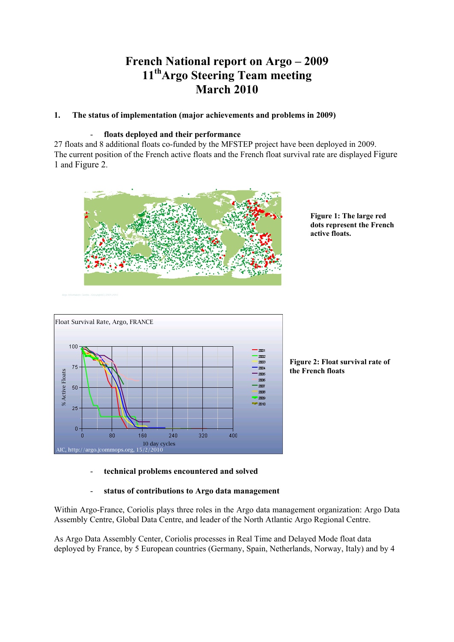# **French National report on Argo – 2009 11thArgo Steering Team meeting March 2010**

# **1. The status of implementation (major achievements and problems in 2009)**

# - **floats deployed and their performance**

27 floats and 8 additional floats co-funded by the MFSTEP project have been deployed in 2009. The current position of the French active floats and the French float survival rate are displayed Figure 1 and Figure 2.



**Figure 1: The large red dots represent the French active floats.** 



**Figure 2: Float survival rate of the French floats**

- **technical problems encountered and solved**
- **status of contributions to Argo data management**

Within Argo-France, Coriolis plays three roles in the Argo data management organization: Argo Data Assembly Centre, Global Data Centre, and leader of the North Atlantic Argo Regional Centre.

As Argo Data Assembly Center, Coriolis processes in Real Time and Delayed Mode float data deployed by France, by 5 European countries (Germany, Spain, Netherlands, Norway, Italy) and by 4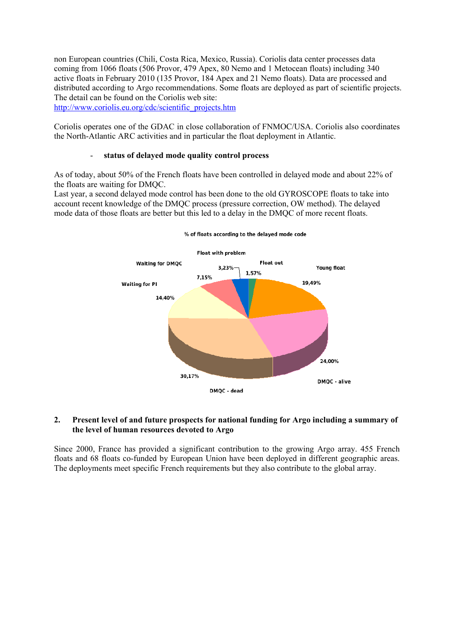non European countries (Chili, Costa Rica, Mexico, Russia). Coriolis data center processes data coming from 1066 floats (506 Provor, 479 Apex, 80 Nemo and 1 Metocean floats) including 340 active floats in February 2010 (135 Provor, 184 Apex and 21 Nemo floats). Data are processed and distributed according to Argo recommendations. Some floats are deployed as part of scientific projects. The detail can be found on the Coriolis web site: http://www.coriolis.eu.org/cdc/scientific\_projects.htm

Coriolis operates one of the GDAC in close collaboration of FNMOC/USA. Coriolis also coordinates the North-Atlantic ARC activities and in particular the float deployment in Atlantic.

## - **status of delayed mode quality control process**

As of today, about 50% of the French floats have been controlled in delayed mode and about 22% of the floats are waiting for DMQC.

Last year, a second delayed mode control has been done to the old GYROSCOPE floats to take into account recent knowledge of the DMQC process (pressure correction, OW method). The delayed mode data of those floats are better but this led to a delay in the DMQC of more recent floats.



## **2. Present level of and future prospects for national funding for Argo including a summary of the level of human resources devoted to Argo**

Since 2000, France has provided a significant contribution to the growing Argo array. 455 French floats and 68 floats co-funded by European Union have been deployed in different geographic areas. The deployments meet specific French requirements but they also contribute to the global array.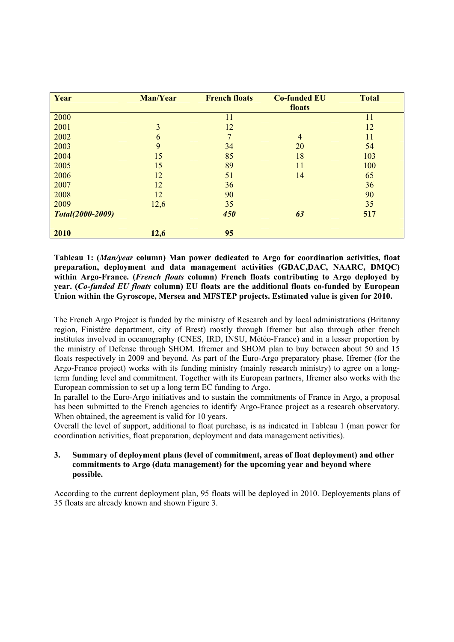| Year             | <b>Man/Year</b> | <b>French floats</b> | <b>Co-funded EU</b><br>floats | <b>Total</b> |
|------------------|-----------------|----------------------|-------------------------------|--------------|
|                  |                 |                      |                               |              |
| 2000             |                 | 11                   |                               | 11           |
| 2001             | $\overline{3}$  | 12                   |                               | 12           |
| 2002             | 6               | 7                    | $\overline{4}$                | 11           |
| 2003             | 9               | 34                   | 20                            | 54           |
| 2004             | 15              | 85                   | 18                            | 103          |
| 2005             | 15              | 89                   | 11                            | 100          |
| 2006             | 12              | 51                   | 14                            | 65           |
| 2007             | 12              | 36                   |                               | 36           |
| 2008             | 12              | 90                   |                               | 90           |
| 2009             | 12,6            | 35                   |                               | 35           |
| Total(2000-2009) |                 | 450                  | 63                            | 517          |
| 2010             | 12,6            | 95                   |                               |              |

**Tableau 1: (***Man/year* **column) Man power dedicated to Argo for coordination activities, float preparation, deployment and data management activities (GDAC,DAC, NAARC, DMQC) within Argo-France. (***French floats* **column) French floats contributing to Argo deployed by year. (***Co-funded EU floats* **column) EU floats are the additional floats co-funded by European Union within the Gyroscope, Mersea and MFSTEP projects. Estimated value is given for 2010.** 

The French Argo Project is funded by the ministry of Research and by local administrations (Britanny region, Finistère department, city of Brest) mostly through Ifremer but also through other french institutes involved in oceanography (CNES, IRD, INSU, Météo-France) and in a lesser proportion by the ministry of Defense through SHOM. Ifremer and SHOM plan to buy between about 50 and 15 floats respectively in 2009 and beyond. As part of the Euro-Argo preparatory phase, Ifremer (for the Argo-France project) works with its funding ministry (mainly research ministry) to agree on a longterm funding level and commitment. Together with its European partners, Ifremer also works with the European commission to set up a long term EC funding to Argo.

In parallel to the Euro-Argo initiatives and to sustain the commitments of France in Argo, a proposal has been submitted to the French agencies to identify Argo-France project as a research observatory. When obtained, the agreement is valid for 10 years.

Overall the level of support, additional to float purchase, is as indicated in Tableau 1 (man power for coordination activities, float preparation, deployment and data management activities).

## **3. Summary of deployment plans (level of commitment, areas of float deployment) and other commitments to Argo (data management) for the upcoming year and beyond where possible.**

According to the current deployment plan, 95 floats will be deployed in 2010. Deployements plans of 35 floats are already known and shown Figure 3.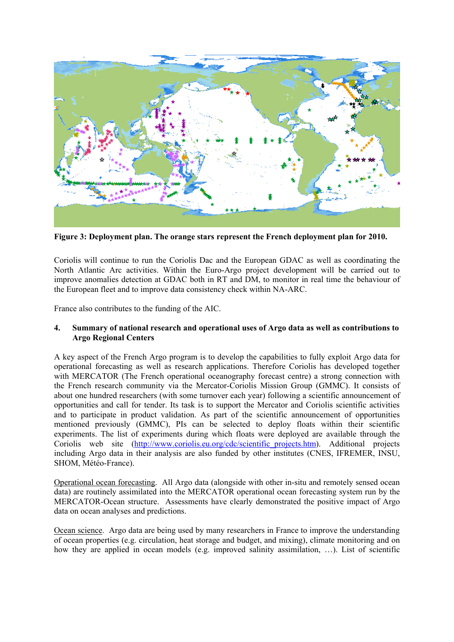

**Figure 3: Deployment plan. The orange stars represent the French deployment plan for 2010.** 

Coriolis will continue to run the Coriolis Dac and the European GDAC as well as coordinating the North Atlantic Arc activities. Within the Euro-Argo project development will be carried out to improve anomalies detection at GDAC both in RT and DM, to monitor in real time the behaviour of the European fleet and to improve data consistency check within NA-ARC.

France also contributes to the funding of the AIC.

# **4. Summary of national research and operational uses of Argo data as well as contributions to Argo Regional Centers**

A key aspect of the French Argo program is to develop the capabilities to fully exploit Argo data for operational forecasting as well as research applications. Therefore Coriolis has developed together with MERCATOR (The French operational oceanography forecast centre) a strong connection with the French research community via the Mercator-Coriolis Mission Group (GMMC). It consists of about one hundred researchers (with some turnover each year) following a scientific announcement of opportunities and call for tender. Its task is to support the Mercator and Coriolis scientific activities and to participate in product validation. As part of the scientific announcement of opportunities mentioned previously (GMMC), PIs can be selected to deploy floats within their scientific experiments. The list of experiments during which floats were deployed are available through the Coriolis web site (http://www.coriolis.eu.org/cdc/scientific\_projects.htm). Additional projects including Argo data in their analysis are also funded by other institutes (CNES, IFREMER, INSU, SHOM, Météo-France).

Operational ocean forecasting. All Argo data (alongside with other in-situ and remotely sensed ocean data) are routinely assimilated into the MERCATOR operational ocean forecasting system run by the MERCATOR-Ocean structure. Assessments have clearly demonstrated the positive impact of Argo data on ocean analyses and predictions.

Ocean science. Argo data are being used by many researchers in France to improve the understanding of ocean properties (e.g. circulation, heat storage and budget, and mixing), climate monitoring and on how they are applied in ocean models (e.g. improved salinity assimilation, …). List of scientific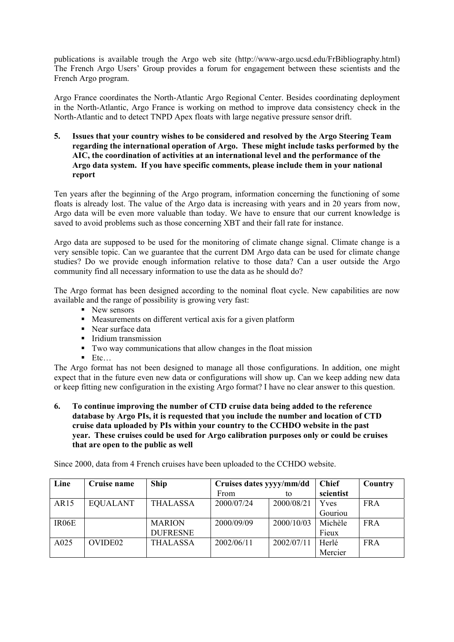publications is available trough the Argo web site (http://www-argo.ucsd.edu/FrBibliography.html) The French Argo Users' Group provides a forum for engagement between these scientists and the French Argo program.

Argo France coordinates the North-Atlantic Argo Regional Center. Besides coordinating deployment in the North-Atlantic, Argo France is working on method to improve data consistency check in the North-Atlantic and to detect TNPD Apex floats with large negative pressure sensor drift.

**5. Issues that your country wishes to be considered and resolved by the Argo Steering Team regarding the international operation of Argo. These might include tasks performed by the AIC, the coordination of activities at an international level and the performance of the Argo data system. If you have specific comments, please include them in your national report** 

Ten years after the beginning of the Argo program, information concerning the functioning of some floats is already lost. The value of the Argo data is increasing with years and in 20 years from now, Argo data will be even more valuable than today. We have to ensure that our current knowledge is saved to avoid problems such as those concerning XBT and their fall rate for instance.

Argo data are supposed to be used for the monitoring of climate change signal. Climate change is a very sensible topic. Can we guarantee that the current DM Argo data can be used for climate change studies? Do we provide enough information relative to those data? Can a user outside the Argo community find all necessary information to use the data as he should do?

The Argo format has been designed according to the nominal float cycle. New capabilities are now available and the range of possibility is growing very fast:

- lacktriangle New sensors
- ! Measurements on different vertical axis for a given platform
- Near surface data
- **·** Iridium transmission
- ! Two way communications that allow changes in the float mission
- $\blacksquare$  Etc.

The Argo format has not been designed to manage all those configurations. In addition, one might expect that in the future even new data or configurations will show up. Can we keep adding new data or keep fitting new configuration in the existing Argo format? I have no clear answer to this question.

**6. To continue improving the number of CTD cruise data being added to the reference database by Argo PIs, it is requested that you include the number and location of CTD cruise data uploaded by PIs within your country to the CCHDO website in the past year. These cruises could be used for Argo calibration purposes only or could be cruises that are open to the public as well** 

Since 2000, data from 4 French cruises have been uploaded to the CCHDO website.

| Line               | Cruise name         | <b>Ship</b>     | Cruises dates yyyy/mm/dd |            | <b>Chief</b> | Country    |
|--------------------|---------------------|-----------------|--------------------------|------------|--------------|------------|
|                    |                     |                 | <b>From</b>              | tο         | scientist    |            |
| AR15               | <b>EQUALANT</b>     | <b>THALASSA</b> | 2000/07/24               | 2000/08/21 | <b>Y</b> ves | <b>FRA</b> |
|                    |                     |                 |                          |            | Gouriou      |            |
| IR <sub>06</sub> E |                     | <b>MARION</b>   | 2000/09/09               | 2000/10/03 | Michèle      | <b>FRA</b> |
|                    |                     | <b>DUFRESNE</b> |                          |            | Fieux        |            |
| A025               | OVIDE <sub>02</sub> | <b>THALASSA</b> | 2002/06/11               | 2002/07/11 | Herlé        | <b>FRA</b> |
|                    |                     |                 |                          |            | Mercier      |            |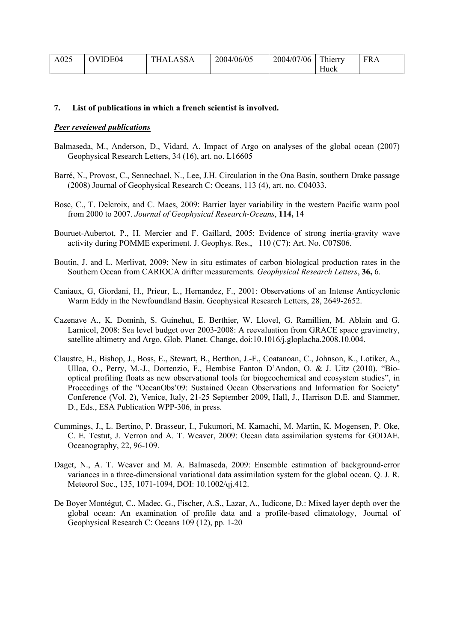| A025 | <b>OVIDE04</b> | ASSA<br>`HAL <i>E</i> | 2004/06/05 | 2004/07/06 | T1<br>hierry | <b>FRA</b> |
|------|----------------|-----------------------|------------|------------|--------------|------------|
|      |                |                       |            |            | Huck         |            |

## **7. List of publications in which a french scientist is involved.**

#### *Peer reveiewed publications*

- Balmaseda, M., Anderson, D., Vidard, A. Impact of Argo on analyses of the global ocean (2007) Geophysical Research Letters, 34 (16), art. no. L16605
- Barré, N., Provost, C., Sennechael, N., Lee, J.H. Circulation in the Ona Basin, southern Drake passage (2008) Journal of Geophysical Research C: Oceans, 113 (4), art. no. C04033.
- Bosc, C., T. Delcroix, and C. Maes, 2009: Barrier layer variability in the western Pacific warm pool from 2000 to 2007. *Journal of Geophysical Research-Oceans*, **114,** 14
- Bouruet-Aubertot, P., H. Mercier and F. Gaillard, 2005: Evidence of strong inertia-gravity wave activity during POMME experiment. J. Geophys. Res., 110 (C7): Art. No. C07S06.
- Boutin, J. and L. Merlivat, 2009: New in situ estimates of carbon biological production rates in the Southern Ocean from CARIOCA drifter measurements. *Geophysical Research Letters*, **36,** 6.
- Caniaux, G, Giordani, H., Prieur, L., Hernandez, F., 2001: Observations of an Intense Anticyclonic Warm Eddy in the Newfoundland Basin. Geophysical Research Letters, 28, 2649-2652.
- Cazenave A., K. Dominh, S. Guinehut, E. Berthier, W. Llovel, G. Ramillien, M. Ablain and G. Larnicol, 2008: Sea level budget over 2003-2008: A reevaluation from GRACE space gravimetry, satellite altimetry and Argo, Glob. Planet. Change, doi:10.1016/j.gloplacha.2008.10.004.
- Claustre, H., Bishop, J., Boss, E., Stewart, B., Berthon, J.-F., Coatanoan, C., Johnson, K., Lotiker, A., Ulloa, O., Perry, M.-J., Dortenzio, F., Hembise Fanton D'Andon, O. & J. Uitz (2010). "Biooptical profiling floats as new observational tools for biogeochemical and ecosystem studies", in Proceedings of the "OceanObs'09: Sustained Ocean Observations and Information for Society" Conference (Vol. 2), Venice, Italy, 21-25 September 2009, Hall, J., Harrison D.E. and Stammer, D., Eds., ESA Publication WPP-306, in press.
- Cummings, J., L. Bertino, P. Brasseur, I., Fukumori, M. Kamachi, M. Martin, K. Mogensen, P. Oke, C. E. Testut, J. Verron and A. T. Weaver, 2009: Ocean data assimilation systems for GODAE. Oceanography, 22, 96-109.
- Daget, N., A. T. Weaver and M. A. Balmaseda, 2009: Ensemble estimation of background-error variances in a three-dimensional variational data assimilation system for the global ocean. Q. J. R. Meteorol Soc., 135, 1071-1094, DOI: 10.1002/qj.412.
- De Boyer Montégut, C., Madec, G., Fischer, A.S., Lazar, A., Iudicone, D.: Mixed layer depth over the global ocean: An examination of profile data and a profile-based climatology, Journal of Geophysical Research C: Oceans 109 (12), pp. 1-20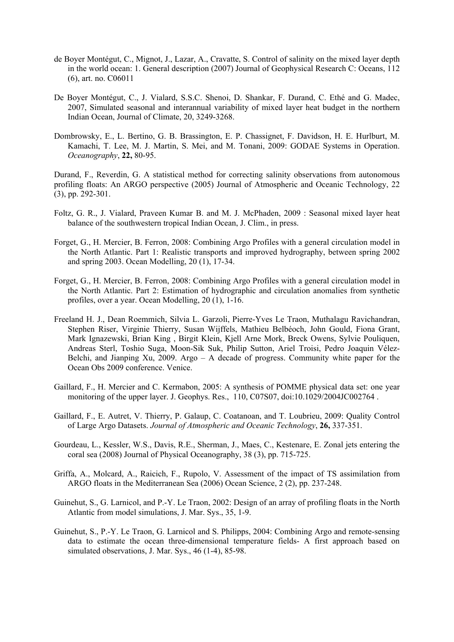- de Boyer Montégut, C., Mignot, J., Lazar, A., Cravatte, S. Control of salinity on the mixed layer depth in the world ocean: 1. General description (2007) Journal of Geophysical Research C: Oceans, 112 (6), art. no. C06011
- De Boyer Montégut, C., J. Vialard, S.S.C. Shenoi, D. Shankar, F. Durand, C. Ethé and G. Madec, 2007, Simulated seasonal and interannual variability of mixed layer heat budget in the northern Indian Ocean, Journal of Climate, 20, 3249-3268.
- Dombrowsky, E., L. Bertino, G. B. Brassington, E. P. Chassignet, F. Davidson, H. E. Hurlburt, M. Kamachi, T. Lee, M. J. Martin, S. Mei, and M. Tonani, 2009: GODAE Systems in Operation. *Oceanography*, **22,** 80-95.

Durand, F., Reverdin, G. A statistical method for correcting salinity observations from autonomous profiling floats: An ARGO perspective (2005) Journal of Atmospheric and Oceanic Technology, 22 (3), pp. 292-301.

- Foltz, G. R., J. Vialard, Praveen Kumar B. and M. J. McPhaden, 2009 : Seasonal mixed layer heat balance of the southwestern tropical Indian Ocean, J. Clim., in press.
- Forget, G., H. Mercier, B. Ferron, 2008: Combining Argo Profiles with a general circulation model in the North Atlantic. Part 1: Realistic transports and improved hydrography, between spring 2002 and spring 2003. Ocean Modelling, 20 (1), 17-34.
- Forget, G., H. Mercier, B. Ferron, 2008: Combining Argo Profiles with a general circulation model in the North Atlantic. Part 2: Estimation of hydrographic and circulation anomalies from synthetic profiles, over a year. Ocean Modelling, 20 (1), 1-16.
- Freeland H. J., Dean Roemmich, Silvia L. Garzoli, Pierre-Yves Le Traon, Muthalagu Ravichandran, Stephen Riser, Virginie Thierry, Susan Wijffels, Mathieu Belbéoch, John Gould, Fiona Grant, Mark Ignazewski, Brian King , Birgit Klein, Kjell Arne Mork, Breck Owens, Sylvie Pouliquen, Andreas Sterl, Toshio Suga, Moon-Sik Suk, Philip Sutton, Ariel Troisi, Pedro Joaquin Vélez-Belchi, and Jianping Xu,  $2009$ . Argo – A decade of progress. Community white paper for the Ocean Obs 2009 conference. Venice.
- Gaillard, F., H. Mercier and C. Kermabon, 2005: A synthesis of POMME physical data set: one year monitoring of the upper layer. J. Geophys. Res., 110, C07S07, doi:10.1029/2004JC002764 .
- Gaillard, F., E. Autret, V. Thierry, P. Galaup, C. Coatanoan, and T. Loubrieu, 2009: Quality Control of Large Argo Datasets. *Journal of Atmospheric and Oceanic Technology*, **26,** 337-351.
- Gourdeau, L., Kessler, W.S., Davis, R.E., Sherman, J., Maes, C., Kestenare, E. Zonal jets entering the coral sea (2008) Journal of Physical Oceanography, 38 (3), pp. 715-725.
- Griffa, A., Molcard, A., Raicich, F., Rupolo, V. Assessment of the impact of TS assimilation from ARGO floats in the Mediterranean Sea (2006) Ocean Science, 2 (2), pp. 237-248.
- Guinehut, S., G. Larnicol, and P.-Y. Le Traon, 2002: Design of an array of profiling floats in the North Atlantic from model simulations, J. Mar. Sys., 35, 1-9.
- Guinehut, S., P.-Y. Le Traon, G. Larnicol and S. Philipps, 2004: Combining Argo and remote-sensing data to estimate the ocean three-dimensional temperature fields- A first approach based on simulated observations, J. Mar. Sys., 46 (1-4), 85-98.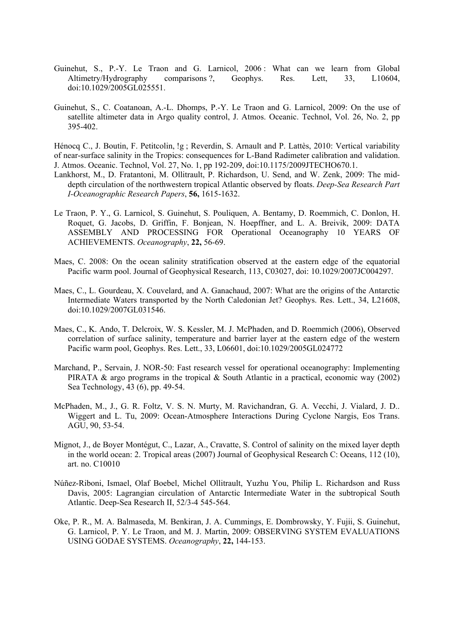- Guinehut, S., P.-Y. Le Traon and G. Larnicol, 2006 : What can we learn from Global Altimetry/Hydrography comparisons ?, Geophys. Res. Lett, 33, L10604, doi:10.1029/2005GL025551.
- Guinehut, S., C. Coatanoan, A.-L. Dhomps, P.-Y. Le Traon and G. Larnicol, 2009: On the use of satellite altimeter data in Argo quality control, J. Atmos. Oceanic. Technol, Vol. 26, No. 2, pp 395-402.

Hénocq C., J. Boutin, F. Petitcolin, !g ; Reverdin, S. Arnault and P. Lattès, 2010: Vertical variability of near-surface salinity in the Tropics: consequences for L-Band Radimeter calibration and validation. J. Atmos. Oceanic. Technol, Vol. 27, No. 1, pp 192-209, doi:10.1175/2009JTECHO670.1.

- Lankhorst, M., D. Fratantoni, M. Ollitrault, P. Richardson, U. Send, and W. Zenk, 2009: The middepth circulation of the northwestern tropical Atlantic observed by floats. *Deep-Sea Research Part I-Oceanographic Research Papers*, **56,** 1615-1632.
- Le Traon, P. Y., G. Larnicol, S. Guinehut, S. Pouliquen, A. Bentamy, D. Roemmich, C. Donlon, H. Roquet, G. Jacobs, D. Griffin, F. Bonjean, N. Hoepffner, and L. A. Breivik, 2009: DATA ASSEMBLY AND PROCESSING FOR Operational Oceanography 10 YEARS OF ACHIEVEMENTS. *Oceanography*, **22,** 56-69.
- Maes, C. 2008: On the ocean salinity stratification observed at the eastern edge of the equatorial Pacific warm pool. Journal of Geophysical Research, 113, C03027, doi: 10.1029/2007JC004297.
- Maes, C., L. Gourdeau, X. Couvelard, and A. Ganachaud, 2007: What are the origins of the Antarctic Intermediate Waters transported by the North Caledonian Jet? Geophys. Res. Lett., 34, L21608, doi:10.1029/2007GL031546.
- Maes, C., K. Ando, T. Delcroix, W. S. Kessler, M. J. McPhaden, and D. Roemmich (2006), Observed correlation of surface salinity, temperature and barrier layer at the eastern edge of the western Pacific warm pool, Geophys. Res. Lett., 33, L06601, doi:10.1029/2005GL024772
- Marchand, P., Servain, J. NOR-50: Fast research vessel for operational oceanography: Implementing PIRATA  $\&$  argo programs in the tropical  $\&$  South Atlantic in a practical, economic way (2002) Sea Technology, 43 (6), pp. 49-54.
- McPhaden, M., J., G. R. Foltz, V. S. N. Murty, M. Ravichandran, G. A. Vecchi, J. Vialard, J. D.. Wiggert and L. Tu, 2009: Ocean-Atmosphere Interactions During Cyclone Nargis, Eos Trans. AGU, 90, 53-54.
- Mignot, J., de Boyer Montégut, C., Lazar, A., Cravatte, S. Control of salinity on the mixed layer depth in the world ocean: 2. Tropical areas (2007) Journal of Geophysical Research C: Oceans, 112 (10), art. no. C10010
- Núñez-Riboni, Ismael, Olaf Boebel, Michel Ollitrault, Yuzhu You, Philip L. Richardson and Russ Davis, 2005: Lagrangian circulation of Antarctic Intermediate Water in the subtropical South Atlantic. Deep-Sea Research II, 52/3-4 545-564.
- Oke, P. R., M. A. Balmaseda, M. Benkiran, J. A. Cummings, E. Dombrowsky, Y. Fujii, S. Guinehut, G. Larnicol, P. Y. Le Traon, and M. J. Martin, 2009: OBSERVING SYSTEM EVALUATIONS USING GODAE SYSTEMS. *Oceanography*, **22,** 144-153.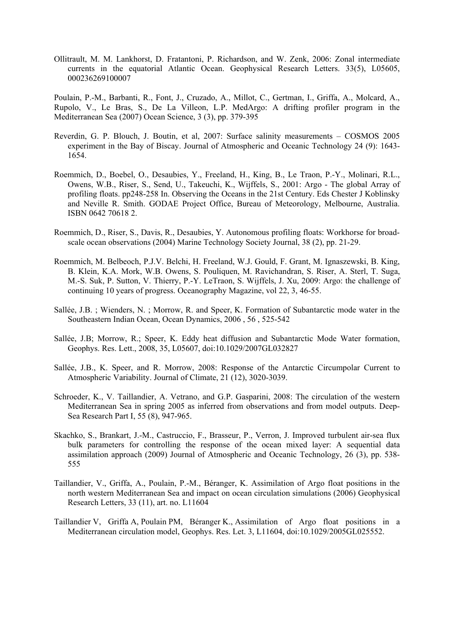Ollitrault, M. M. Lankhorst, D. Fratantoni, P. Richardson, and W. Zenk, 2006: Zonal intermediate currents in the equatorial Atlantic Ocean. Geophysical Research Letters. 33(5), L05605, 000236269100007

Poulain, P.-M., Barbanti, R., Font, J., Cruzado, A., Millot, C., Gertman, I., Griffa, A., Molcard, A., Rupolo, V., Le Bras, S., De La Villeon, L.P. MedArgo: A drifting profiler program in the Mediterranean Sea (2007) Ocean Science, 3 (3), pp. 379-395

- Reverdin, G. P. Blouch, J. Boutin, et al, 2007: Surface salinity measurements COSMOS 2005 experiment in the Bay of Biscay. Journal of Atmospheric and Oceanic Technology 24 (9): 1643- 1654.
- Roemmich, D., Boebel, O., Desaubies, Y., Freeland, H., King, B., Le Traon, P.-Y., Molinari, R.L., Owens, W.B., Riser, S., Send, U., Takeuchi, K., Wijffels, S., 2001: Argo - The global Array of profiling floats. pp248-258 In. Observing the Oceans in the 21st Century. Eds Chester J Koblinsky and Neville R. Smith. GODAE Project Office, Bureau of Meteorology, Melbourne, Australia. ISBN 0642 70618 2.
- Roemmich, D., Riser, S., Davis, R., Desaubies, Y. Autonomous profiling floats: Workhorse for broadscale ocean observations (2004) Marine Technology Society Journal, 38 (2), pp. 21-29.
- Roemmich, M. Belbeoch, P.J.V. Belchi, H. Freeland, W.J. Gould, F. Grant, M. Ignaszewski, B. King, B. Klein, K.A. Mork, W.B. Owens, S. Pouliquen, M. Ravichandran, S. Riser, A. Sterl, T. Suga, M.-S. Suk, P. Sutton, V. Thierry, P.-Y. LeTraon, S. Wijffels, J. Xu, 2009: Argo: the challenge of continuing 10 years of progress. Oceanography Magazine, vol 22, 3, 46-55.
- Sallée, J.B. ; Wienders, N. ; Morrow, R. and Speer, K. Formation of Subantarctic mode water in the Southeastern Indian Ocean, Ocean Dynamics, 2006 , 56 , 525-542
- Sallée, J.B; Morrow, R.; Speer, K. Eddy heat diffusion and Subantarctic Mode Water formation, Geophys. Res. Lett., 2008, 35, L05607, doi:10.1029/2007GL032827
- Sallée, J.B., K. Speer, and R. Morrow, 2008: Response of the Antarctic Circumpolar Current to Atmospheric Variability. Journal of Climate, 21 (12), 3020-3039.
- Schroeder, K., V. Taillandier, A. Vetrano, and G.P. Gasparini, 2008: The circulation of the western Mediterranean Sea in spring 2005 as inferred from observations and from model outputs. Deep-Sea Research Part I, 55 (8), 947-965.
- Skachko, S., Brankart, J.-M., Castruccio, F., Brasseur, P., Verron, J. Improved turbulent air-sea flux bulk parameters for controlling the response of the ocean mixed layer: A sequential data assimilation approach (2009) Journal of Atmospheric and Oceanic Technology, 26 (3), pp. 538- 555
- Taillandier, V., Griffa, A., Poulain, P.-M., Béranger, K. Assimilation of Argo float positions in the north western Mediterranean Sea and impact on ocean circulation simulations (2006) Geophysical Research Letters, 33 (11), art. no. L11604
- Taillandier V, Griffa A, Poulain PM, Béranger K., Assimilation of Argo float positions in a Mediterranean circulation model, Geophys. Res. Let. 3, L11604, doi:10.1029/2005GL025552.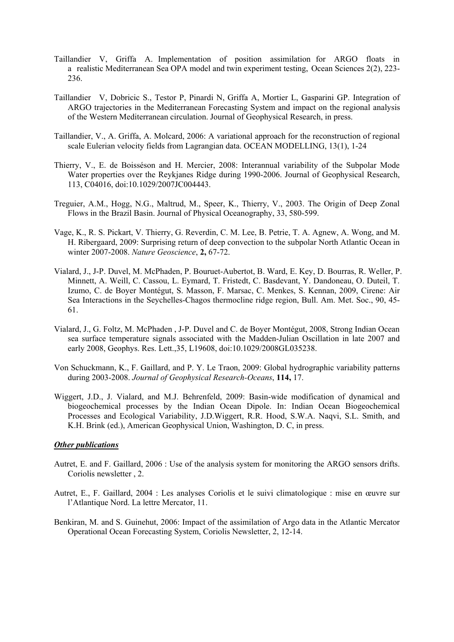- Taillandier V, Griffa A. Implementation of position assimilation for ARGO floats in a realistic Mediterranean Sea OPA model and twin experiment testing, Ocean Sciences 2(2), 223- 236.
- Taillandier V, Dobricic S., Testor P, Pinardi N, Griffa A, Mortier L, Gasparini GP. Integration of ARGO trajectories in the Mediterranean Forecasting System and impact on the regional analysis of the Western Mediterranean circulation. Journal of Geophysical Research, in press.
- Taillandier, V., A. Griffa, A. Molcard, 2006: A variational approach for the reconstruction of regional scale Eulerian velocity fields from Lagrangian data. OCEAN MODELLING, 13(1), 1-24
- Thierry, V., E. de Boisséson and H. Mercier, 2008: Interannual variability of the Subpolar Mode Water properties over the Reykjanes Ridge during 1990-2006. Journal of Geophysical Research, 113, C04016, doi:10.1029/2007JC004443.
- Treguier, A.M., Hogg, N.G., Maltrud, M., Speer, K., Thierry, V., 2003. The Origin of Deep Zonal Flows in the Brazil Basin. Journal of Physical Oceanography, 33, 580-599.
- Vage, K., R. S. Pickart, V. Thierry, G. Reverdin, C. M. Lee, B. Petrie, T. A. Agnew, A. Wong, and M. H. Ribergaard, 2009: Surprising return of deep convection to the subpolar North Atlantic Ocean in winter 2007-2008. *Nature Geoscience*, **2,** 67-72.
- Vialard, J., J-P. Duvel, M. McPhaden, P. Bouruet-Aubertot, B. Ward, E. Key, D. Bourras, R. Weller, P. Minnett, A. Weill, C. Cassou, L. Eymard, T. Fristedt, C. Basdevant, Y. Dandoneau, O. Duteil, T. Izumo, C. de Boyer Montégut, S. Masson, F. Marsac, C. Menkes, S. Kennan, 2009, Cirene: Air Sea Interactions in the Seychelles-Chagos thermocline ridge region, Bull. Am. Met. Soc., 90, 45- 61.
- Vialard, J., G. Foltz, M. McPhaden , J-P. Duvel and C. de Boyer Montégut, 2008, Strong Indian Ocean sea surface temperature signals associated with the Madden-Julian Oscillation in late 2007 and early 2008, Geophys. Res. Lett.,35, L19608, doi:10.1029/2008GL035238.
- Von Schuckmann, K., F. Gaillard, and P. Y. Le Traon, 2009: Global hydrographic variability patterns during 2003-2008. *Journal of Geophysical Research-Oceans*, **114,** 17.
- Wiggert, J.D., J. Vialard, and M.J. Behrenfeld, 2009: Basin-wide modification of dynamical and biogeochemical processes by the Indian Ocean Dipole. In: Indian Ocean Biogeochemical Processes and Ecological Variability, J.D.Wiggert, R.R. Hood, S.W.A. Naqvi, S.L. Smith, and K.H. Brink (ed.), American Geophysical Union, Washington, D. C, in press.

## *Other publications*

- Autret, E. and F. Gaillard, 2006 : Use of the analysis system for monitoring the ARGO sensors drifts. Coriolis newsletter , 2.
- Autret, E., F. Gaillard, 2004 : Les analyses Coriolis et le suivi climatologique : mise en œuvre sur l'Atlantique Nord. La lettre Mercator, 11.
- Benkiran, M. and S. Guinehut, 2006: Impact of the assimilation of Argo data in the Atlantic Mercator Operational Ocean Forecasting System, Coriolis Newsletter, 2, 12-14.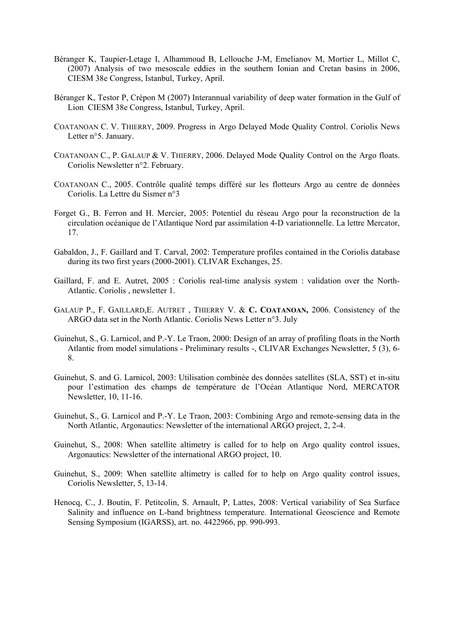- Béranger K, Taupier-Letage I, Alhammoud B, Lellouche J-M, Emelianov M, Mortier L, Millot C, (2007) Analysis of two mesoscale eddies in the southern Ionian and Cretan basins in 2006, CIESM 38e Congress, Istanbul, Turkey, April.
- Béranger K, Testor P, Crépon M (2007) Interannual variability of deep water formation in the Gulf of Lion CIESM 38e Congress, Istanbul, Turkey, April.
- COATANOAN C. V. THIERRY, 2009. Progress in Argo Delayed Mode Quality Control. Coriolis News Letter n°5. January.
- COATANOAN C., P. GALAUP & V. THIERRY, 2006. Delayed Mode Quality Control on the Argo floats. Coriolis Newsletter n°2. February.
- COATANOAN C., 2005. Contrôle qualité temps différé sur les flotteurs Argo au centre de données Coriolis. La Lettre du Sismer n°3
- Forget G., B. Ferron and H. Mercier, 2005: Potentiel du réseau Argo pour la reconstruction de la circulation océanique de l'Atlantique Nord par assimilation 4-D variationnelle. La lettre Mercator, 17.
- Gabaldon, J., F. Gaillard and T. Carval, 2002: Temperature profiles contained in the Coriolis database during its two first years (2000-2001). CLIVAR Exchanges, 25.
- Gaillard, F. and E. Autret, 2005 : Coriolis real-time analysis system : validation over the North-Atlantic. Coriolis , newsletter 1.
- GALAUP P., F. GAILLARD,E. AUTRET , THIERRY V. & **C. COATANOAN,** 2006. Consistency of the ARGO data set in the North Atlantic. Coriolis News Letter n°3. July
- Guinehut, S., G. Larnicol, and P.-Y. Le Traon, 2000: Design of an array of profiling floats in the North Atlantic from model simulations - Preliminary results -, CLIVAR Exchanges Newsletter, 5 (3), 6- 8.
- Guinehut, S. and G. Larnicol, 2003: Utilisation combinée des données satellites (SLA, SST) et in-situ pour l'estimation des champs de température de l'Océan Atlantique Nord, MERCATOR Newsletter, 10, 11-16.
- Guinehut, S., G. Larnicol and P.-Y. Le Traon, 2003: Combining Argo and remote-sensing data in the North Atlantic, Argonautics: Newsletter of the international ARGO project, 2, 2-4.
- Guinehut, S., 2008: When satellite altimetry is called for to help on Argo quality control issues, Argonautics: Newsletter of the international ARGO project, 10.
- Guinehut, S., 2009: When satellite altimetry is called for to help on Argo quality control issues, Coriolis Newsletter, 5, 13-14.
- Henocq, C., J. Boutin, F. Petitcolin, S. Arnault, P, Lattes, 2008: Vertical variability of Sea Surface Salinity and influence on L-band brightness temperature. International Geoscience and Remote Sensing Symposium (IGARSS), art. no. 4422966, pp. 990-993.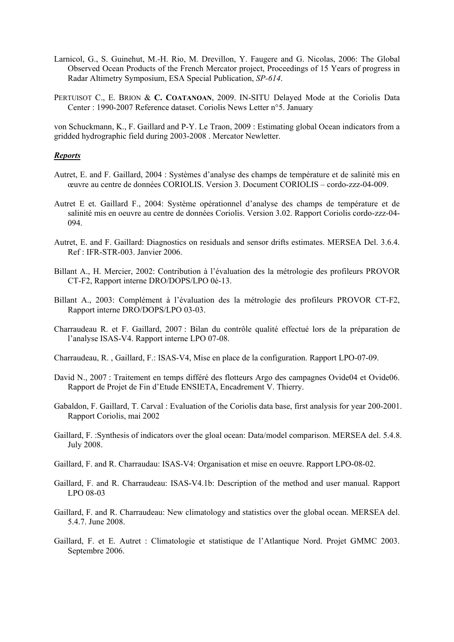- Larnicol, G., S. Guinehut, M.-H. Rio, M. Drevillon, Y. Faugere and G. Nicolas, 2006: The Global Observed Ocean Products of the French Mercator project, Proceedings of 15 Years of progress in Radar Altimetry Symposium, ESA Special Publication, *SP-614*.
- PERTUISOT C., E. BRION & **C. COATANOAN**, 2009. IN-SITU Delayed Mode at the Coriolis Data Center : 1990-2007 Reference dataset. Coriolis News Letter n°5. January

von Schuckmann, K., F. Gaillard and P-Y. Le Traon, 2009 : Estimating global Ocean indicators from a gridded hydrographic field during 2003-2008 . Mercator Newletter.

#### *Reports*

- Autret, E. and F. Gaillard, 2004 : Systèmes d'analyse des champs de température et de salinité mis en œuvre au centre de données CORIOLIS. Version 3. Document CORIOLIS – cordo-zzz-04-009.
- Autret E et. Gaillard F., 2004: Système opérationnel d'analyse des champs de température et de salinité mis en oeuvre au centre de données Coriolis. Version 3.02. Rapport Coriolis cordo-zzz-04- 094.
- Autret, E. and F. Gaillard: Diagnostics on residuals and sensor drifts estimates. MERSEA Del. 3.6.4. Ref : IFR-STR-003. Janvier 2006.
- Billant A., H. Mercier, 2002: Contribution à l'évaluation des la métrologie des profileurs PROVOR CT-F2, Rapport interne DRO/DOPS/LPO 0é-13.
- Billant A., 2003: Complément à l'évaluation des la métrologie des profileurs PROVOR CT-F2, Rapport interne DRO/DOPS/LPO 03-03.
- Charraudeau R. et F. Gaillard, 2007 : Bilan du contrôle qualité effectué lors de la préparation de l'analyse ISAS-V4. Rapport interne LPO 07-08.
- Charraudeau, R. , Gaillard, F.: ISAS-V4, Mise en place de la configuration. Rapport LPO-07-09.
- David N., 2007 : Traitement en temps différé des flotteurs Argo des campagnes Ovide04 et Ovide06. Rapport de Projet de Fin d'Etude ENSIETA, Encadrement V. Thierry.
- Gabaldon, F. Gaillard, T. Carval : Evaluation of the Coriolis data base, first analysis for year 200-2001. Rapport Coriolis, mai 2002
- Gaillard, F. :Synthesis of indicators over the gloal ocean: Data/model comparison. MERSEA del. 5.4.8. July 2008.
- Gaillard, F. and R. Charraudau: ISAS-V4: Organisation et mise en oeuvre. Rapport LPO-08-02.
- Gaillard, F. and R. Charraudeau: ISAS-V4.1b: Description of the method and user manual. Rapport LPO 08-03
- Gaillard, F. and R. Charraudeau: New climatology and statistics over the global ocean. MERSEA del. 5.4.7. June 2008.
- Gaillard, F. et E. Autret : Climatologie et statistique de l'Atlantique Nord. Projet GMMC 2003. Septembre 2006.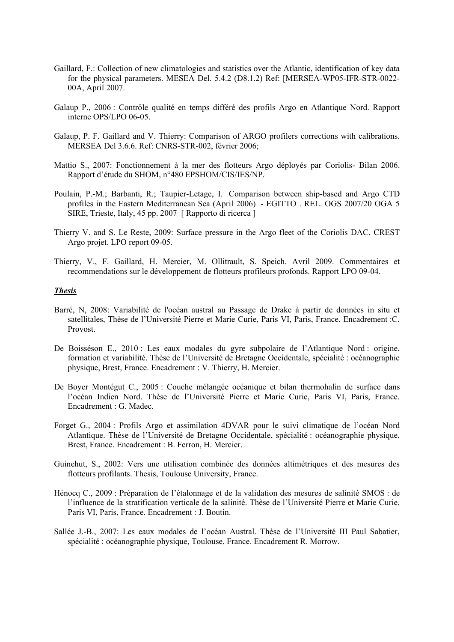- Gaillard, F.: Collection of new climatologies and statistics over the Atlantic, identification of key data for the physical parameters. MESEA Del. 5.4.2 (D8.1.2) Ref: [MERSEA-WP05-IFR-STR-0022- 00A, April 2007.
- Galaup P., 2006 : Contrôle qualité en temps différé des profils Argo en Atlantique Nord. Rapport interne OPS/LPO 06-05.
- Galaup, P. F. Gaillard and V. Thierry: Comparison of ARGO profilers corrections with calibrations. MERSEA Del 3.6.6. Ref: CNRS-STR-002, février 2006;
- Mattio S., 2007: Fonctionnement à la mer des flotteurs Argo déployés par Coriolis- Bilan 2006. Rapport d'étude du SHOM, n°480 EPSHOM/CIS/IES/NP.
- Poulain, P.-M.; Barbanti, R.; Taupier-Letage, I. Comparison between ship-based and Argo CTD profiles in the Eastern Mediterranean Sea (April 2006) - EGITTO . REL. OGS 2007/20 OGA 5 SIRE, Trieste, Italy, 45 pp. 2007 [ Rapporto di ricerca ]
- Thierry V. and S. Le Reste, 2009: Surface pressure in the Argo fleet of the Coriolis DAC. CREST Argo projet. LPO report 09-05.
- Thierry, V., F. Gaillard, H. Mercier, M. Ollitrault, S. Speich. Avril 2009. Commentaires et recommendations sur le développement de flotteurs profileurs profonds. Rapport LPO 09-04.

#### *Thesis*

- Barré, N, 2008: Variabilité de l'océan austral au Passage de Drake à partir de données in situ et satellitales, Thèse de l'Université Pierre et Marie Curie, Paris VI, Paris, France. Encadrement :C. Provost.
- De Boisséson E., 2010 : Les eaux modales du gyre subpolaire de l'Atlantique Nord : origine, formation et variabilité. Thèse de l'Université de Bretagne Occidentale, spécialité : océanographie physique, Brest, France. Encadrement : V. Thierry, H. Mercier.
- De Boyer Montégut C., 2005 : Couche mélangée océanique et bilan thermohalin de surface dans l'océan Indien Nord. Thèse de l'Université Pierre et Marie Curie, Paris VI, Paris, France. Encadrement : G. Madec.
- Forget G., 2004 : Profils Argo et assimilation 4DVAR pour le suivi climatique de l'océan Nord Atlantique. Thèse de l'Université de Bretagne Occidentale, spécialité : océanographie physique, Brest, France. Encadrement : B. Ferron, H. Mercier.
- Guinehut, S., 2002: Vers une utilisation combinée des données altimétriques et des mesures des flotteurs profilants. Thesis, Toulouse University, France.
- Hénocq C., 2009 : Préparation de l'étalonnage et de la validation des mesures de salinité SMOS : de l'influence de la stratification verticale de la salinité. Thèse de l'Université Pierre et Marie Curie, Paris VI, Paris, France. Encadrement : J. Boutin.
- Sallée J.-B., 2007: Les eaux modales de l'océan Austral. Thèse de l'Université III Paul Sabatier, spécialité : océanographie physique, Toulouse, France. Encadrement R. Morrow.